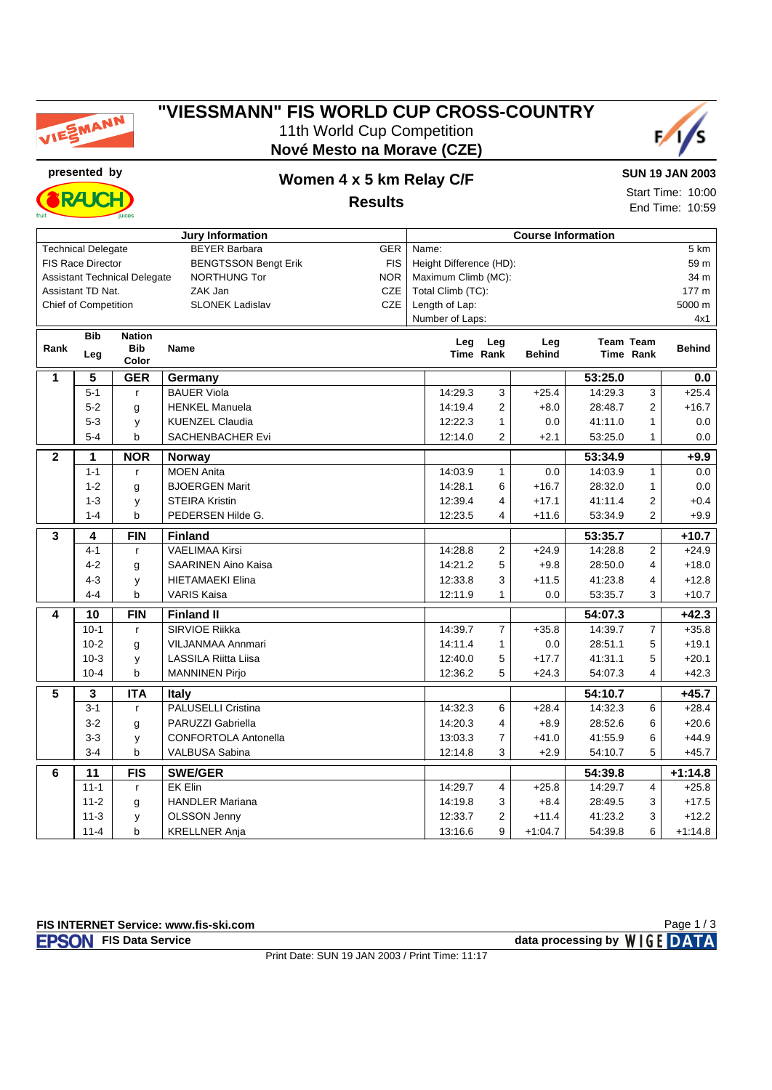

#### **"VIESSMANN" FIS WORLD CUP CROSS-COUNTRY** 11th World Cup Competition **Nové Mesto na Morave (CZE)**



**RAJC** 

## **presented by Women 4 x 5 km Relay C/F**

**SUN 19 JAN 2003**

**Results**

Start Time: 10:00 End Time: 10:59

| <b>Jury Information</b>                                                  |                             |               |                             |     | <b>Course Information</b> |                |           |           |                  |                   |  |
|--------------------------------------------------------------------------|-----------------------------|---------------|-----------------------------|-----|---------------------------|----------------|-----------|-----------|------------------|-------------------|--|
| <b>BEYER Barbara</b><br><b>Technical Delegate</b><br><b>GER</b>          |                             |               |                             |     | Name:                     |                |           |           |                  | $\overline{5}$ km |  |
| FIS Race Director<br><b>FIS</b><br><b>BENGTSSON Bengt Erik</b>           |                             |               |                             |     | Height Difference (HD):   |                |           |           |                  | 59 m              |  |
| <b>Assistant Technical Delegate</b><br><b>NORTHUNG Tor</b><br><b>NOR</b> |                             |               |                             |     | Maximum Climb (MC):       |                |           |           |                  | 34 m              |  |
|                                                                          | Assistant TD Nat.           |               | ZAK Jan                     | CZE | Total Climb (TC):         |                |           |           |                  | 177 m             |  |
|                                                                          | <b>Chief of Competition</b> |               | <b>SLONEK Ladislav</b>      | CZE | Length of Lap:            |                |           |           |                  | 5000 m            |  |
|                                                                          |                             |               |                             |     | Number of Laps:           |                |           |           |                  | 4x1               |  |
|                                                                          | <b>Bib</b>                  | <b>Nation</b> |                             |     | Leg                       | Leg            | Leg       |           | <b>Team Team</b> |                   |  |
| Rank                                                                     | Leg                         | <b>Bib</b>    | <b>Name</b>                 |     | Time Rank                 | <b>Behind</b>  |           | Time Rank | <b>Behind</b>    |                   |  |
|                                                                          |                             | Color         |                             |     |                           |                |           |           |                  |                   |  |
| 1                                                                        | 5                           | <b>GER</b>    | Germany                     |     |                           |                |           | 53:25.0   |                  | 0.0               |  |
|                                                                          | $5 - 1$                     | $\mathbf{r}$  | <b>BAUER Viola</b>          |     | 14:29.3                   | 3              | $+25.4$   | 14:29.3   | 3                | $+25.4$           |  |
|                                                                          | $5-2$                       | g             | <b>HENKEL Manuela</b>       |     | 14:19.4                   | $\overline{2}$ | $+8.0$    | 28:48.7   | $\overline{2}$   | $+16.7$           |  |
|                                                                          | $5 - 3$                     | y             | <b>KUENZEL Claudia</b>      |     | 12:22.3                   | $\mathbf{1}$   | 0.0       | 41:11.0   | $\mathbf{1}$     | 0.0               |  |
|                                                                          | $5 - 4$                     | b             | <b>SACHENBACHER Evi</b>     |     | 12:14.0                   | $\overline{2}$ | $+2.1$    | 53:25.0   | $\mathbf{1}$     | $0.0\,$           |  |
| $\mathbf{2}$                                                             | 1                           | <b>NOR</b>    | Norway                      |     |                           |                |           | 53:34.9   |                  | $+9.9$            |  |
|                                                                          | $1 - 1$                     | $\mathsf{r}$  | <b>MOEN Anita</b>           |     | 14:03.9                   | $\mathbf{1}$   | 0.0       | 14:03.9   | $\mathbf{1}$     | 0.0               |  |
|                                                                          | $1 - 2$                     | g             | <b>BJOERGEN Marit</b>       |     | 14:28.1                   | 6              | $+16.7$   | 28:32.0   | $\mathbf{1}$     | 0.0               |  |
|                                                                          | $1 - 3$                     | у             | <b>STEIRA Kristin</b>       |     | 12:39.4                   | $\overline{4}$ | $+17.1$   | 41:11.4   | $\overline{2}$   | $+0.4$            |  |
|                                                                          | $1 - 4$                     | b             | PEDERSEN Hilde G.           |     | 12:23.5                   | 4              | $+11.6$   | 53:34.9   | 2                | $+9.9$            |  |
| 3                                                                        | 4                           | <b>FIN</b>    | <b>Finland</b>              |     |                           |                | 53:35.7   |           | $+10.7$          |                   |  |
|                                                                          | $4 - 1$                     | $\mathsf{r}$  | <b>VAELIMAA Kirsi</b>       |     | 14:28.8                   | 2              | $+24.9$   | 14:28.8   | $\overline{2}$   | $+24.9$           |  |
|                                                                          | $4 - 2$                     | g             | <b>SAARINEN Aino Kaisa</b>  |     | 14:21.2                   | 5              | $+9.8$    | 28:50.0   | 4                | $+18.0$           |  |
|                                                                          | $4 - 3$                     | у             | <b>HIETAMAEKI Elina</b>     |     | 12:33.8                   | 3              | $+11.5$   | 41:23.8   | 4                | $+12.8$           |  |
|                                                                          | $4 - 4$                     | b             | <b>VARIS Kaisa</b>          |     | 12:11.9                   | $\mathbf{1}$   | 0.0       | 53:35.7   | 3                | $+10.7$           |  |
| 4                                                                        | 10                          | <b>FIN</b>    | <b>Finland II</b>           |     |                           |                |           | 54:07.3   |                  | $+42.3$           |  |
|                                                                          | $10-1$                      | $\mathsf{r}$  | SIRVIOE Riikka              |     | 14:39.7                   | $\overline{7}$ | $+35.8$   | 14:39.7   | $\boldsymbol{7}$ | $+35.8$           |  |
|                                                                          | $10-2$                      | g             | <b>VILJANMAA Annmari</b>    |     | 14:11.4                   | $\mathbf{1}$   | 0.0       | 28:51.1   | 5                | $+19.1$           |  |
|                                                                          | $10-3$                      | y             | LASSILA Riitta Liisa        |     | 12:40.0                   | 5              | $+17.7$   | 41:31.1   | 5                | $+20.1$           |  |
|                                                                          | $10 - 4$                    | b             | <b>MANNINEN Pirjo</b>       |     | 12:36.2                   | 5              | $+24.3$   | 54:07.3   | 4                | $+42.3$           |  |
| 5                                                                        | $\overline{\mathbf{3}}$     | <b>ITA</b>    | <b>Italy</b>                |     |                           |                |           | 54:10.7   |                  | $+45.7$           |  |
|                                                                          | $3 - 1$                     | $\mathsf{r}$  | PALUSELLI Cristina          |     | 14:32.3                   | 6              | $+28.4$   | 14:32.3   | 6                | $+28.4$           |  |
|                                                                          | $3 - 2$                     | g             | PARUZZI Gabriella           |     | 14:20.3                   | $\overline{4}$ | $+8.9$    | 28:52.6   | 6                | $+20.6$           |  |
|                                                                          | $3-3$                       | y             | <b>CONFORTOLA Antonella</b> |     | 13:03.3                   | $\overline{7}$ | $+41.0$   | 41:55.9   | 6                | $+44.9$           |  |
|                                                                          | $3 - 4$                     | b             | <b>VALBUSA Sabina</b>       |     | 12:14.8                   | 3              | $+2.9$    | 54:10.7   | 5                | $+45.7$           |  |
| 6                                                                        | 11                          | <b>FIS</b>    | <b>SWE/GER</b>              |     |                           |                |           | 54:39.8   |                  | $+1:14.8$         |  |
|                                                                          | $11 - 1$                    | $\mathsf{r}$  | <b>EK Elin</b>              |     | 14:29.7                   | 4              | $+25.8$   | 14:29.7   | $\overline{4}$   | $+25.8$           |  |
|                                                                          | $11 - 2$                    | g             | <b>HANDLER Mariana</b>      |     | 14:19.8                   | 3              | $+8.4$    | 28:49.5   | 3                | $+17.5$           |  |
|                                                                          | $11-3$                      | y             | <b>OLSSON Jenny</b>         |     | 12:33.7                   | $\overline{2}$ | $+11.4$   | 41:23.2   | 3                | $+12.2$           |  |
|                                                                          | $11 - 4$                    | b             | <b>KRELLNER Anja</b>        |     | 13:16.6                   | 9              | $+1:04.7$ | 54:39.8   | 6                | $+1:14.8$         |  |
|                                                                          |                             |               |                             |     |                           |                |           |           |                  |                   |  |



**FIS Data Service data processing by**  $W \mid G E$  **DATA** Page 1 / 3

Print Date: SUN 19 JAN 2003 / Print Time: 11:17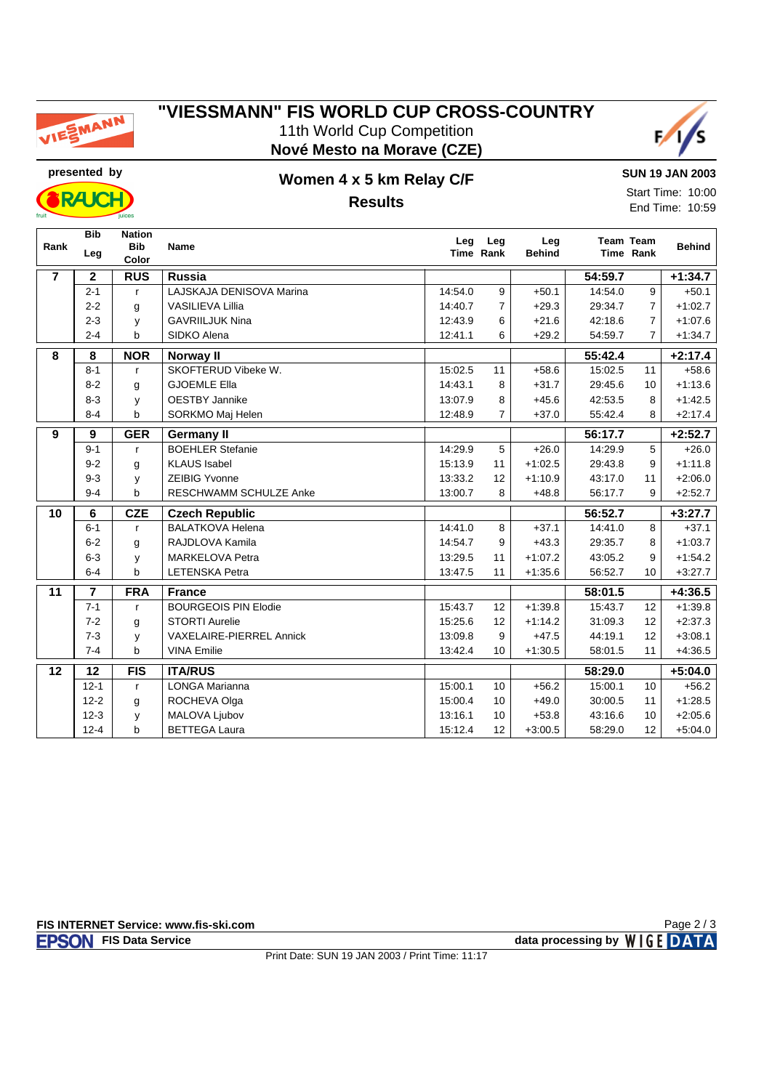

#### **"VIESSMANN" FIS WORLD CUP CROSS-COUNTRY** 11th World Cup Competition **Nové Mesto na Morave (CZE)**



**RAJC** 

## **presented by Women 4 x 5 km Relay C/F Results**

**SUN 19 JAN 2003** Start Time: 10:00 End Time: 10:59

| Rank           | <b>Bib</b>              | <b>Nation</b><br><b>Bib</b> | <b>Name</b>                 | Leg     | Leg            | Leg           |         | <b>Team Team</b> |               |
|----------------|-------------------------|-----------------------------|-----------------------------|---------|----------------|---------------|---------|------------------|---------------|
|                | Leg                     | Color                       |                             |         | Time Rank      | <b>Behind</b> |         | Time Rank        | <b>Behind</b> |
| $\overline{7}$ | $\mathbf{2}$            | <b>RUS</b>                  | <b>Russia</b>               |         |                |               | 54:59.7 |                  | $+1:34.7$     |
|                | $2 - 1$                 | $\mathsf{r}$                | LAJSKAJA DENISOVA Marina    | 14:54.0 | 9              | $+50.1$       | 14:54.0 | 9                | $+50.1$       |
|                | $2 - 2$                 | g                           | <b>VASILIEVA Lillia</b>     | 14:40.7 | $\overline{7}$ | $+29.3$       | 29:34.7 | $\overline{7}$   | $+1:02.7$     |
|                | $2 - 3$                 | y                           | <b>GAVRIILJUK Nina</b>      | 12:43.9 | 6              | $+21.6$       | 42:18.6 | $\overline{7}$   | $+1:07.6$     |
|                | $2 - 4$                 | þ                           | SIDKO Alena                 | 12:41.1 | 6              | $+29.2$       | 54:59.7 | $\overline{7}$   | $+1:34.7$     |
| 8              | $\overline{\mathbf{8}}$ | <b>NOR</b>                  | Norway II                   |         |                |               | 55:42.4 |                  | $+2:17.4$     |
|                | $8 - 1$                 | $\mathsf{r}$                | SKOFTERUD Vibeke W.         | 15:02.5 | 11             | $+58.6$       | 15:02.5 | 11               | $+58.6$       |
|                | $8 - 2$                 | g                           | <b>GJOEMLE Ella</b>         | 14:43.1 | 8              | $+31.7$       | 29:45.6 | 10               | $+1:13.6$     |
|                | $8 - 3$                 | y                           | <b>OESTBY Jannike</b>       | 13:07.9 | 8              | $+45.6$       | 42:53.5 | 8                | $+1:42.5$     |
|                | $8 - 4$                 | b                           | SORKMO Maj Helen            | 12:48.9 | $\overline{7}$ | $+37.0$       | 55:42.4 | 8                | $+2:17.4$     |
| 9              | $\boldsymbol{9}$        | <b>GER</b>                  | <b>Germany II</b>           |         |                |               | 56:17.7 |                  | $+2:52.7$     |
|                | $9 - 1$                 | $\mathsf{r}$                | <b>BOEHLER Stefanie</b>     | 14:29.9 | 5              | $+26.0$       | 14:29.9 | 5                | $+26.0$       |
|                | $9 - 2$                 | g                           | <b>KLAUS Isabel</b>         | 15:13.9 | 11             | $+1:02.5$     | 29:43.8 | 9                | $+1:11.8$     |
|                | $9 - 3$                 | y                           | <b>ZEIBIG Yvonne</b>        | 13:33.2 | 12             | $+1:10.9$     | 43:17.0 | 11               | $+2:06.0$     |
|                | $9 - 4$                 | b                           | RESCHWAMM SCHULZE Anke      | 13:00.7 | 8              | $+48.8$       | 56:17.7 | 9                | $+2:52.7$     |
| 10             | 6                       | <b>CZE</b>                  | <b>Czech Republic</b>       |         |                |               | 56:52.7 |                  | $+3:27.7$     |
|                | $6 - 1$                 | $\mathsf{r}$                | <b>BALATKOVA Helena</b>     | 14:41.0 | 8              | $+37.1$       | 14:41.0 | 8                | $+37.1$       |
|                | $6 - 2$                 | g                           | RAJDLOVA Kamila             | 14:54.7 | 9              | $+43.3$       | 29:35.7 | 8                | $+1:03.7$     |
|                | $6-3$                   | y                           | <b>MARKELOVA Petra</b>      | 13:29.5 | 11             | $+1:07.2$     | 43:05.2 | 9                | $+1:54.2$     |
|                | $6-4$                   | b                           | <b>LETENSKA Petra</b>       | 13:47.5 | 11             | $+1:35.6$     | 56:52.7 | 10               | $+3:27.7$     |
| 11             | $\overline{7}$          | <b>FRA</b>                  | <b>France</b>               |         |                |               | 58:01.5 |                  | $+4:36.5$     |
|                | $7 - 1$                 | $\mathsf{r}$                | <b>BOURGEOIS PIN Elodie</b> | 15:43.7 | 12             | $+1:39.8$     | 15:43.7 | 12               | $+1:39.8$     |
|                | $7 - 2$                 | g                           | <b>STORTI Aurelie</b>       | 15:25.6 | 12             | $+1:14.2$     | 31:09.3 | 12               | $+2:37.3$     |
|                | $7 - 3$                 | y                           | VAXELAIRE-PIERREL Annick    | 13:09.8 | 9              | $+47.5$       | 44:19.1 | 12               | $+3:08.1$     |
|                | $7 - 4$                 | b                           | <b>VINA Emilie</b>          | 13:42.4 | 10             | $+1:30.5$     | 58:01.5 | 11               | $+4.36.5$     |
| 12             | 12                      | <b>FIS</b>                  | <b>ITA/RUS</b>              |         |                |               | 58:29.0 |                  | $+5:04.0$     |
|                | $12 - 1$                | $\mathsf{r}$                | LONGA Marianna              | 15:00.1 | 10             | $+56.2$       | 15:00.1 | 10               | $+56.2$       |
|                | $12 - 2$                | g                           | ROCHEVA Olga                | 15:00.4 | 10             | $+49.0$       | 30:00.5 | 11               | $+1:28.5$     |
|                | $12 - 3$                | y                           | MALOVA Ljubov               | 13:16.1 | 10             | $+53.8$       | 43:16.6 | 10               | $+2:05.6$     |
|                | $12 - 4$                | b                           | <b>BETTEGA Laura</b>        | 15:12.4 | 12             | $+3:00.5$     | 58:29.0 | 12               | $+5:04.0$     |

Page 2 / 3

Print Date: SUN 19 JAN 2003 / Print Time: 11:17